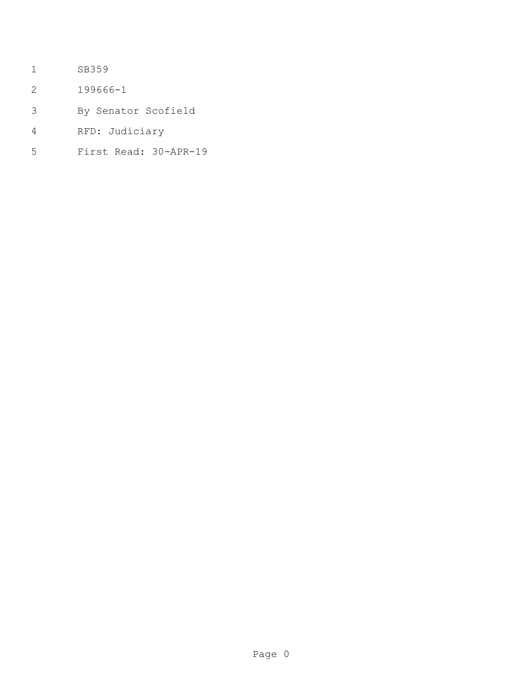- SB359
- 199666-1
- By Senator Scofield
- RFD: Judiciary
- First Read: 30-APR-19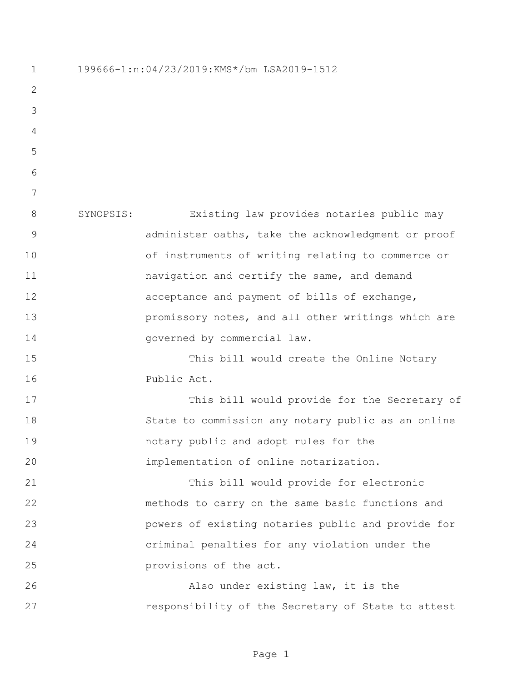199666-1:n:04/23/2019:KMS\*/bm LSA2019-1512 SYNOPSIS: Existing law provides notaries public may administer oaths, take the acknowledgment or proof of instruments of writing relating to commerce or navigation and certify the same, and demand acceptance and payment of bills of exchange, **promissory notes, and all other writings which are** 14 governed by commercial law. This bill would create the Online Notary Public Act. This bill would provide for the Secretary of State to commission any notary public as an online notary public and adopt rules for the implementation of online notarization. This bill would provide for electronic methods to carry on the same basic functions and powers of existing notaries public and provide for criminal penalties for any violation under the provisions of the act. Also under existing law, it is the responsibility of the Secretary of State to attest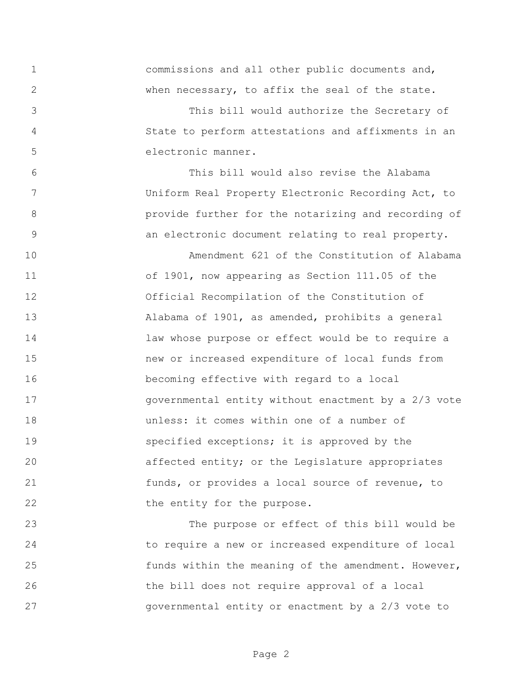commissions and all other public documents and, when necessary, to affix the seal of the state.

 This bill would authorize the Secretary of State to perform attestations and affixments in an electronic manner.

 This bill would also revise the Alabama Uniform Real Property Electronic Recording Act, to provide further for the notarizing and recording of an electronic document relating to real property.

 Amendment 621 of the Constitution of Alabama of 1901, now appearing as Section 111.05 of the Official Recompilation of the Constitution of Alabama of 1901, as amended, prohibits a general law whose purpose or effect would be to require a new or increased expenditure of local funds from becoming effective with regard to a local governmental entity without enactment by a 2/3 vote unless: it comes within one of a number of **Specified exceptions;** it is approved by the affected entity; or the Legislature appropriates funds, or provides a local source of revenue, to 22 the entity for the purpose.

 The purpose or effect of this bill would be to require a new or increased expenditure of local 25 funds within the meaning of the amendment. However, the bill does not require approval of a local governmental entity or enactment by a 2/3 vote to

Page 2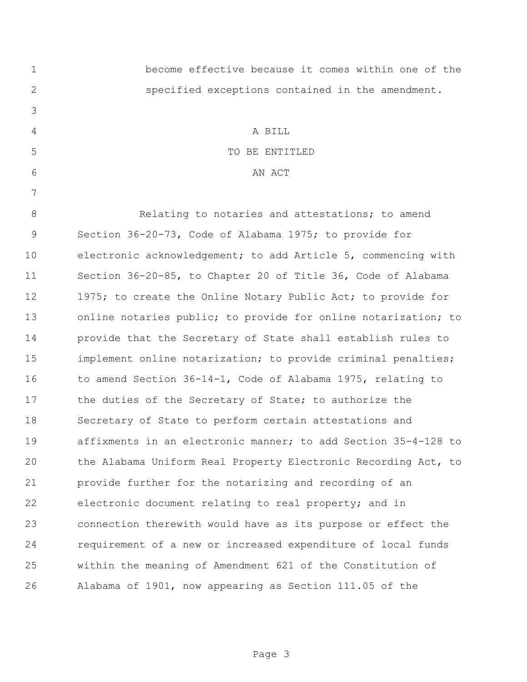| $\mathbf 1$ | become effective because it comes within one of the            |
|-------------|----------------------------------------------------------------|
| 2           | specified exceptions contained in the amendment.               |
| 3           |                                                                |
| 4           | A BILL                                                         |
| 5           | TO BE ENTITLED                                                 |
| 6           | AN ACT                                                         |
| 7           |                                                                |
| 8           | Relating to notaries and attestations; to amend                |
| 9           | Section 36-20-73, Code of Alabama 1975; to provide for         |
| 10          | electronic acknowledgement; to add Article 5, commencing with  |
| 11          | Section 36-20-85, to Chapter 20 of Title 36, Code of Alabama   |
| 12          | 1975; to create the Online Notary Public Act; to provide for   |
| 13          | online notaries public; to provide for online notarization; to |
| 14          | provide that the Secretary of State shall establish rules to   |
| 15          | implement online notarization; to provide criminal penalties;  |
| 16          | to amend Section 36-14-1, Code of Alabama 1975, relating to    |
| 17          | the duties of the Secretary of State; to authorize the         |
| 18          | Secretary of State to perform certain attestations and         |
| 19          | affixments in an electronic manner; to add Section 35-4-128 to |
| 20          | the Alabama Uniform Real Property Electronic Recording Act, to |
| 21          | provide further for the notarizing and recording of an         |
| 22          | electronic document relating to real property; and in          |
| 23          | connection therewith would have as its purpose or effect the   |
| 24          | requirement of a new or increased expenditure of local funds   |
| 25          | within the meaning of Amendment 621 of the Constitution of     |
| 26          | Alabama of 1901, now appearing as Section 111.05 of the        |

Page 3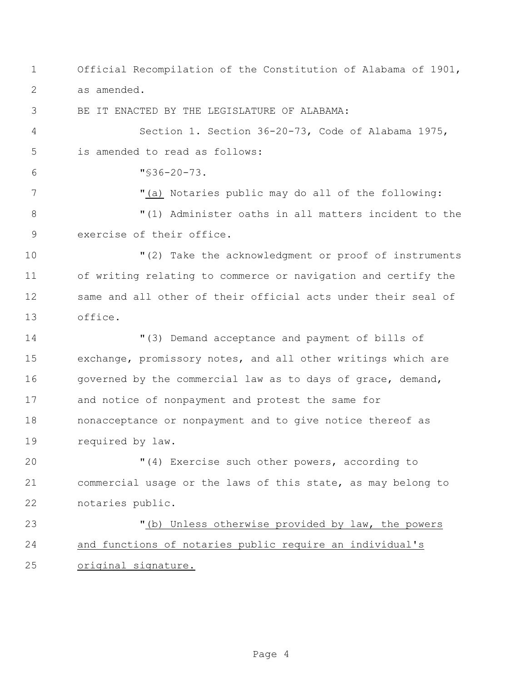Official Recompilation of the Constitution of Alabama of 1901, as amended.

BE IT ENACTED BY THE LEGISLATURE OF ALABAMA:

 Section 1. Section 36-20-73, Code of Alabama 1975, is amended to read as follows:

 $6 \text{ W} \leqslant 36-20-73.$ 

 "(a) Notaries public may do all of the following: "(1) Administer oaths in all matters incident to the exercise of their office.

 "(2) Take the acknowledgment or proof of instruments of writing relating to commerce or navigation and certify the same and all other of their official acts under their seal of office.

 "(3) Demand acceptance and payment of bills of exchange, promissory notes, and all other writings which are 16 governed by the commercial law as to days of grace, demand, and notice of nonpayment and protest the same for nonacceptance or nonpayment and to give notice thereof as required by law.

 "(4) Exercise such other powers, according to commercial usage or the laws of this state, as may belong to notaries public.

 "(b) Unless otherwise provided by law, the powers and functions of notaries public require an individual's original signature.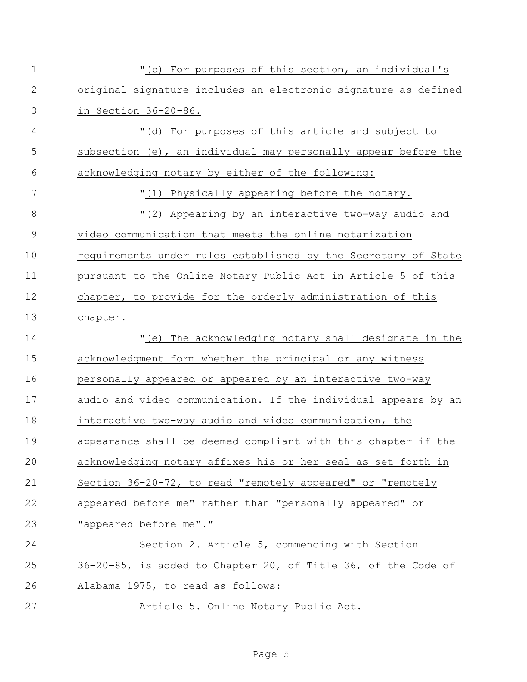| 1             | "(c) For purposes of this section, an individual's             |
|---------------|----------------------------------------------------------------|
| $\mathbf{2}$  | original signature includes an electronic signature as defined |
| 3             | in Section $36-20-86$ .                                        |
| 4             | "(d) For purposes of this article and subject to               |
| 5             | subsection (e), an individual may personally appear before the |
| 6             | acknowledging notary by either of the following:               |
| 7             | "(1) Physically appearing before the notary.                   |
| $8\,$         | "(2) Appearing by an interactive two-way audio and             |
| $\mathcal{G}$ | video communication that meets the online notarization         |
| 10            | requirements under rules established by the Secretary of State |
| 11            | pursuant to the Online Notary Public Act in Article 5 of this  |
| 12            | chapter, to provide for the orderly administration of this     |
| 13            | chapter.                                                       |
| 14            | "(e) The acknowledging notary shall designate in the           |
| 15            | acknowledgment form whether the principal or any witness       |
| 16            | personally appeared or appeared by an interactive two-way      |
| 17            | audio and video communication. If the individual appears by an |
| 18            | interactive two-way audio and video communication, the         |
| 19            | appearance shall be deemed compliant with this chapter if the  |
| 20            | acknowledging notary affixes his or her seal as set forth in   |
| 21            | Section 36-20-72, to read "remotely appeared" or "remotely     |
| 22            | appeared before me" rather than "personally appeared" or       |
| 23            | "appeared before me"."                                         |
| 24            | Section 2. Article 5, commencing with Section                  |
| 25            | 36-20-85, is added to Chapter 20, of Title 36, of the Code of  |
| 26            | Alabama 1975, to read as follows:                              |
| 27            | Article 5. Online Notary Public Act.                           |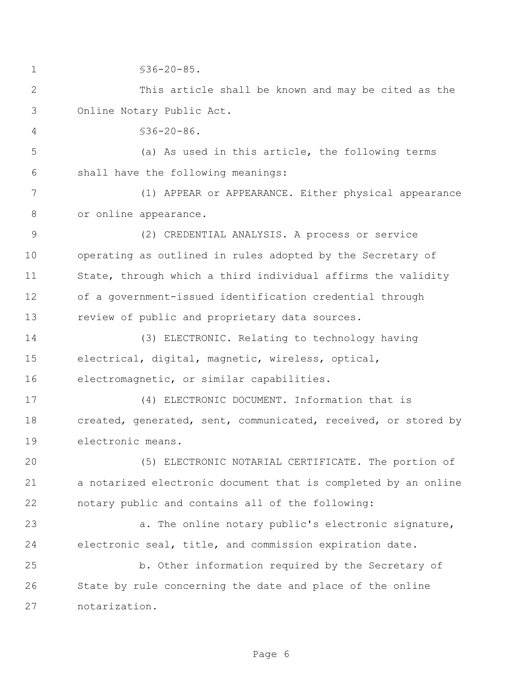1 §36-20-85. This article shall be known and may be cited as the Online Notary Public Act. §36-20-86. (a) As used in this article, the following terms shall have the following meanings: (1) APPEAR or APPEARANCE. Either physical appearance or online appearance. (2) CREDENTIAL ANALYSIS. A process or service operating as outlined in rules adopted by the Secretary of State, through which a third individual affirms the validity of a government-issued identification credential through review of public and proprietary data sources. (3) ELECTRONIC. Relating to technology having electrical, digital, magnetic, wireless, optical, electromagnetic, or similar capabilities. (4) ELECTRONIC DOCUMENT. Information that is created, generated, sent, communicated, received, or stored by electronic means. (5) ELECTRONIC NOTARIAL CERTIFICATE. The portion of a notarized electronic document that is completed by an online notary public and contains all of the following: a. The online notary public's electronic signature, electronic seal, title, and commission expiration date. b. Other information required by the Secretary of State by rule concerning the date and place of the online notarization.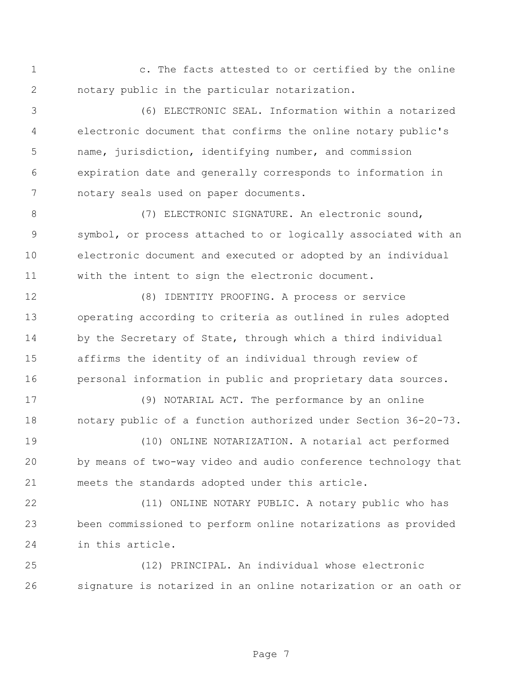c. The facts attested to or certified by the online notary public in the particular notarization.

 (6) ELECTRONIC SEAL. Information within a notarized electronic document that confirms the online notary public's name, jurisdiction, identifying number, and commission expiration date and generally corresponds to information in notary seals used on paper documents.

8 (7) ELECTRONIC SIGNATURE. An electronic sound, symbol, or process attached to or logically associated with an electronic document and executed or adopted by an individual with the intent to sign the electronic document.

 (8) IDENTITY PROOFING. A process or service operating according to criteria as outlined in rules adopted 14 by the Secretary of State, through which a third individual affirms the identity of an individual through review of personal information in public and proprietary data sources.

 (9) NOTARIAL ACT. The performance by an online notary public of a function authorized under Section 36-20-73.

 (10) ONLINE NOTARIZATION. A notarial act performed by means of two-way video and audio conference technology that meets the standards adopted under this article.

 (11) ONLINE NOTARY PUBLIC. A notary public who has been commissioned to perform online notarizations as provided in this article.

 (12) PRINCIPAL. An individual whose electronic signature is notarized in an online notarization or an oath or

Page 7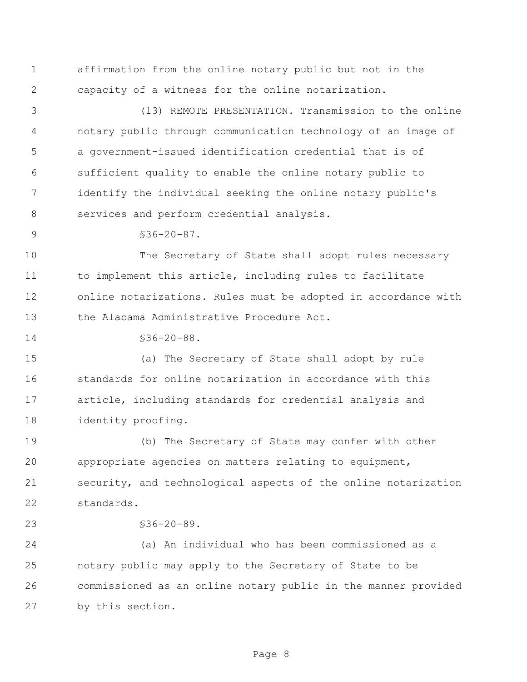affirmation from the online notary public but not in the capacity of a witness for the online notarization.

 (13) REMOTE PRESENTATION. Transmission to the online notary public through communication technology of an image of a government-issued identification credential that is of sufficient quality to enable the online notary public to identify the individual seeking the online notary public's 8 services and perform credential analysis.

 $$36-20-87.$ 

 The Secretary of State shall adopt rules necessary to implement this article, including rules to facilitate online notarizations. Rules must be adopted in accordance with the Alabama Administrative Procedure Act.

14 \$36-20-88.

 (a) The Secretary of State shall adopt by rule standards for online notarization in accordance with this article, including standards for credential analysis and identity proofing.

 (b) The Secretary of State may confer with other appropriate agencies on matters relating to equipment, security, and technological aspects of the online notarization standards.

§36-20-89.

 (a) An individual who has been commissioned as a notary public may apply to the Secretary of State to be commissioned as an online notary public in the manner provided by this section.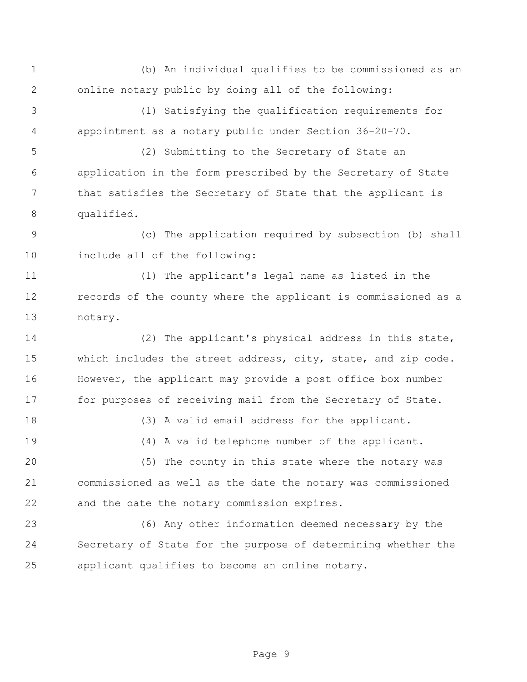(b) An individual qualifies to be commissioned as an online notary public by doing all of the following:

 (1) Satisfying the qualification requirements for appointment as a notary public under Section 36-20-70.

 (2) Submitting to the Secretary of State an application in the form prescribed by the Secretary of State that satisfies the Secretary of State that the applicant is qualified.

 (c) The application required by subsection (b) shall include all of the following:

 (1) The applicant's legal name as listed in the records of the county where the applicant is commissioned as a notary.

 (2) The applicant's physical address in this state, which includes the street address, city, state, and zip code. However, the applicant may provide a post office box number 17 for purposes of receiving mail from the Secretary of State.

(3) A valid email address for the applicant.

(4) A valid telephone number of the applicant.

 (5) The county in this state where the notary was commissioned as well as the date the notary was commissioned and the date the notary commission expires.

 (6) Any other information deemed necessary by the Secretary of State for the purpose of determining whether the applicant qualifies to become an online notary.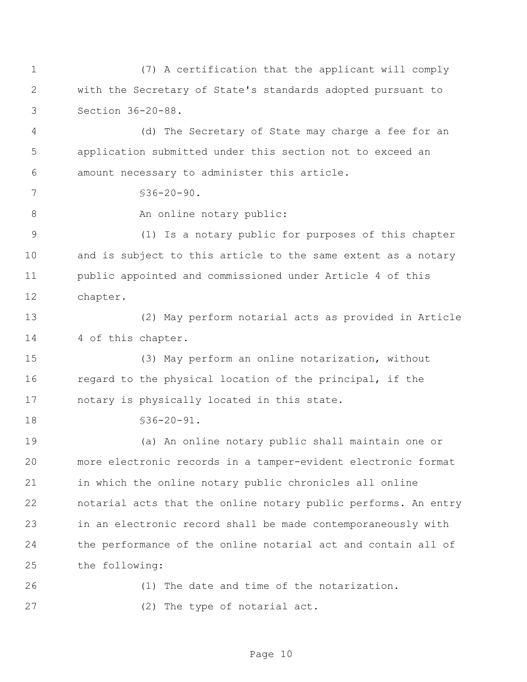(7) A certification that the applicant will comply with the Secretary of State's standards adopted pursuant to Section 36-20-88.

 (d) The Secretary of State may charge a fee for an application submitted under this section not to exceed an amount necessary to administer this article.

 $7 \frac{\$36-20-90.$ 

8 An online notary public:

 (1) Is a notary public for purposes of this chapter and is subject to this article to the same extent as a notary public appointed and commissioned under Article 4 of this chapter.

 (2) May perform notarial acts as provided in Article 14 4 of this chapter.

 (3) May perform an online notarization, without regard to the physical location of the principal, if the notary is physically located in this state.

18 \$36-20-91.

 (a) An online notary public shall maintain one or more electronic records in a tamper-evident electronic format in which the online notary public chronicles all online notarial acts that the online notary public performs. An entry in an electronic record shall be made contemporaneously with the performance of the online notarial act and contain all of the following:

 (1) The date and time of the notarization. (2) The type of notarial act.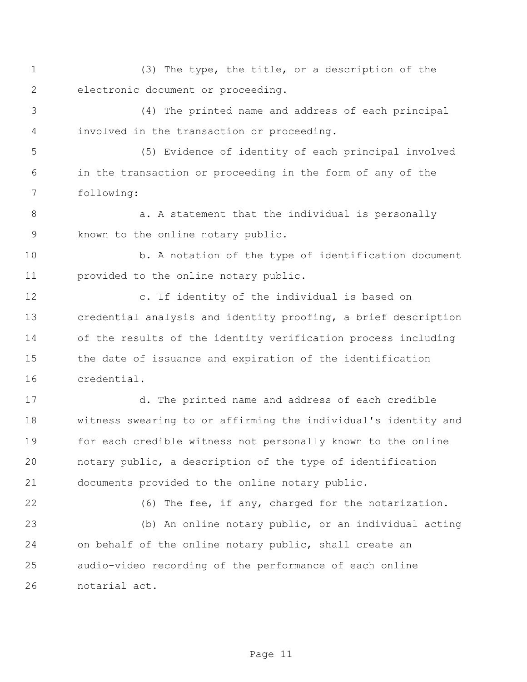(3) The type, the title, or a description of the electronic document or proceeding.

 (4) The printed name and address of each principal involved in the transaction or proceeding.

 (5) Evidence of identity of each principal involved in the transaction or proceeding in the form of any of the following:

8 a. A statement that the individual is personally known to the online notary public.

10 b. A notation of the type of identification document provided to the online notary public.

 c. If identity of the individual is based on credential analysis and identity proofing, a brief description of the results of the identity verification process including the date of issuance and expiration of the identification credential.

 d. The printed name and address of each credible witness swearing to or affirming the individual's identity and for each credible witness not personally known to the online notary public, a description of the type of identification documents provided to the online notary public.

(6) The fee, if any, charged for the notarization.

 (b) An online notary public, or an individual acting on behalf of the online notary public, shall create an audio-video recording of the performance of each online notarial act.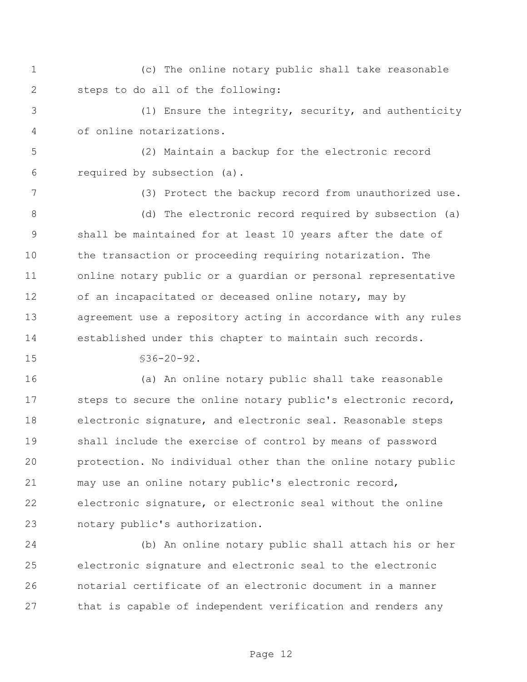(c) The online notary public shall take reasonable steps to do all of the following:

 (1) Ensure the integrity, security, and authenticity of online notarizations.

 (2) Maintain a backup for the electronic record required by subsection (a).

(3) Protect the backup record from unauthorized use.

 (d) The electronic record required by subsection (a) shall be maintained for at least 10 years after the date of the transaction or proceeding requiring notarization. The online notary public or a guardian or personal representative of an incapacitated or deceased online notary, may by agreement use a repository acting in accordance with any rules established under this chapter to maintain such records.

§36-20-92.

 (a) An online notary public shall take reasonable steps to secure the online notary public's electronic record, electronic signature, and electronic seal. Reasonable steps shall include the exercise of control by means of password protection. No individual other than the online notary public may use an online notary public's electronic record, electronic signature, or electronic seal without the online notary public's authorization.

 (b) An online notary public shall attach his or her electronic signature and electronic seal to the electronic notarial certificate of an electronic document in a manner that is capable of independent verification and renders any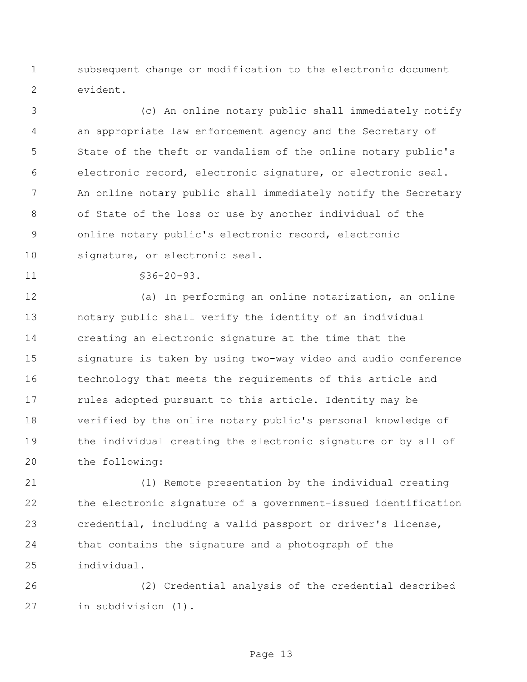subsequent change or modification to the electronic document evident.

 (c) An online notary public shall immediately notify an appropriate law enforcement agency and the Secretary of State of the theft or vandalism of the online notary public's electronic record, electronic signature, or electronic seal. An online notary public shall immediately notify the Secretary of State of the loss or use by another individual of the online notary public's electronic record, electronic signature, or electronic seal.

11 §36-20-93.

 (a) In performing an online notarization, an online notary public shall verify the identity of an individual creating an electronic signature at the time that the signature is taken by using two-way video and audio conference technology that meets the requirements of this article and 17 rules adopted pursuant to this article. Identity may be verified by the online notary public's personal knowledge of the individual creating the electronic signature or by all of the following:

 (1) Remote presentation by the individual creating the electronic signature of a government-issued identification credential, including a valid passport or driver's license, that contains the signature and a photograph of the individual.

 (2) Credential analysis of the credential described in subdivision (1).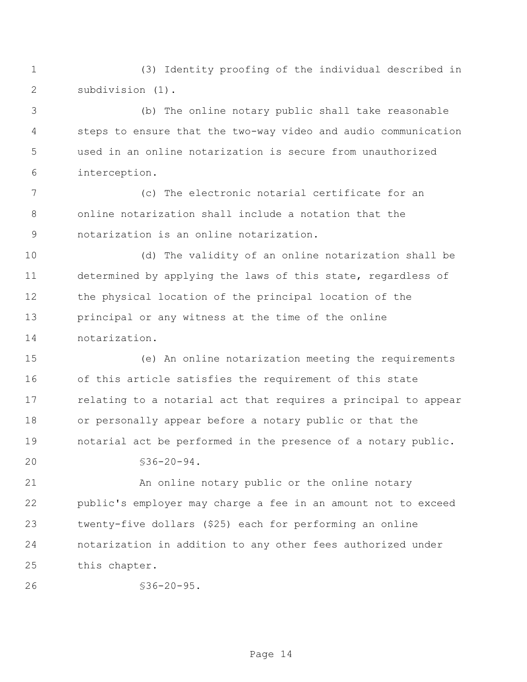(3) Identity proofing of the individual described in subdivision (1).

 (b) The online notary public shall take reasonable steps to ensure that the two-way video and audio communication used in an online notarization is secure from unauthorized interception.

 (c) The electronic notarial certificate for an online notarization shall include a notation that the notarization is an online notarization.

 (d) The validity of an online notarization shall be determined by applying the laws of this state, regardless of the physical location of the principal location of the principal or any witness at the time of the online notarization.

 (e) An online notarization meeting the requirements of this article satisfies the requirement of this state relating to a notarial act that requires a principal to appear or personally appear before a notary public or that the notarial act be performed in the presence of a notary public.

 $20 \times 36-20-94$ .

 An online notary public or the online notary public's employer may charge a fee in an amount not to exceed twenty-five dollars (\$25) each for performing an online notarization in addition to any other fees authorized under this chapter.

```
26 §36-20-95.
```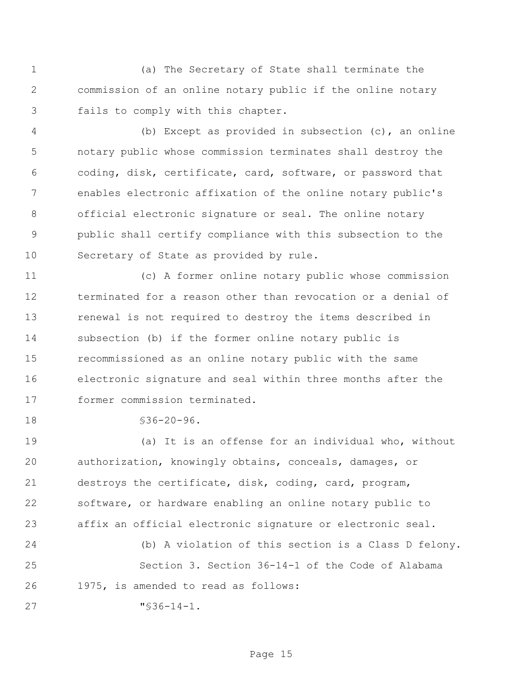(a) The Secretary of State shall terminate the commission of an online notary public if the online notary fails to comply with this chapter.

 (b) Except as provided in subsection (c), an online notary public whose commission terminates shall destroy the coding, disk, certificate, card, software, or password that enables electronic affixation of the online notary public's official electronic signature or seal. The online notary public shall certify compliance with this subsection to the Secretary of State as provided by rule.

 (c) A former online notary public whose commission terminated for a reason other than revocation or a denial of renewal is not required to destroy the items described in subsection (b) if the former online notary public is recommissioned as an online notary public with the same electronic signature and seal within three months after the former commission terminated.

§36-20-96.

 (a) It is an offense for an individual who, without authorization, knowingly obtains, conceals, damages, or destroys the certificate, disk, coding, card, program, software, or hardware enabling an online notary public to affix an official electronic signature or electronic seal.

 (b) A violation of this section is a Class D felony. Section 3. Section 36-14-1 of the Code of Alabama 1975, is amended to read as follows: "§36-14-1.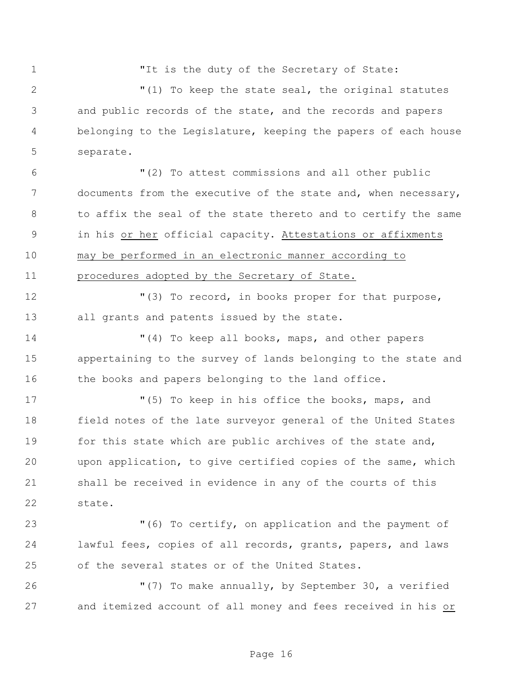1 The is the duty of the Secretary of State:

 "(1) To keep the state seal, the original statutes and public records of the state, and the records and papers belonging to the Legislature, keeping the papers of each house separate.

 "(2) To attest commissions and all other public documents from the executive of the state and, when necessary, to affix the seal of the state thereto and to certify the same in his or her official capacity. Attestations or affixments may be performed in an electronic manner according to procedures adopted by the Secretary of State.

 "(3) To record, in books proper for that purpose, all grants and patents issued by the state.

 "(4) To keep all books, maps, and other papers appertaining to the survey of lands belonging to the state and 16 the books and papers belonging to the land office.

 "(5) To keep in his office the books, maps, and field notes of the late surveyor general of the United States 19 for this state which are public archives of the state and, upon application, to give certified copies of the same, which shall be received in evidence in any of the courts of this state.

 "(6) To certify, on application and the payment of lawful fees, copies of all records, grants, papers, and laws of the several states or of the United States.

 "(7) To make annually, by September 30, a verified and itemized account of all money and fees received in his or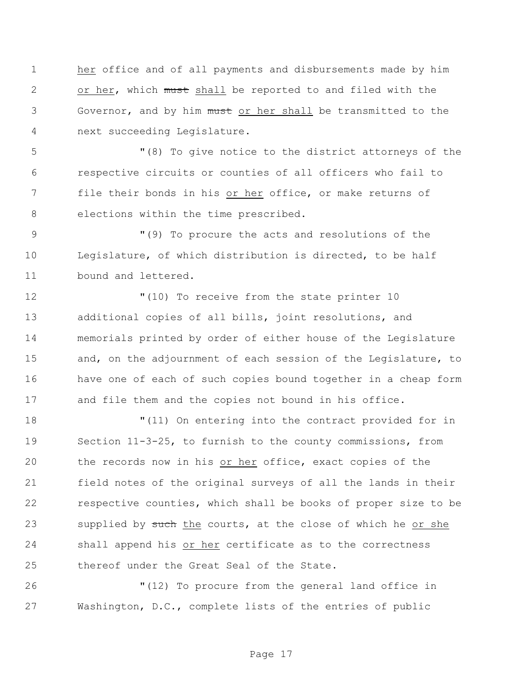her office and of all payments and disbursements made by him 2 or her, which must shall be reported to and filed with the Governor, and by him must or her shall be transmitted to the next succeeding Legislature.

 "(8) To give notice to the district attorneys of the respective circuits or counties of all officers who fail to file their bonds in his or her office, or make returns of elections within the time prescribed.

 "(9) To procure the acts and resolutions of the Legislature, of which distribution is directed, to be half bound and lettered.

 "(10) To receive from the state printer 10 additional copies of all bills, joint resolutions, and memorials printed by order of either house of the Legislature 15 and, on the adjournment of each session of the Legislature, to have one of each of such copies bound together in a cheap form and file them and the copies not bound in his office.

 "(11) On entering into the contract provided for in Section 11-3-25, to furnish to the county commissions, from the records now in his or her office, exact copies of the field notes of the original surveys of all the lands in their respective counties, which shall be books of proper size to be 23 supplied by such the courts, at the close of which he or she shall append his or her certificate as to the correctness thereof under the Great Seal of the State.

 "(12) To procure from the general land office in Washington, D.C., complete lists of the entries of public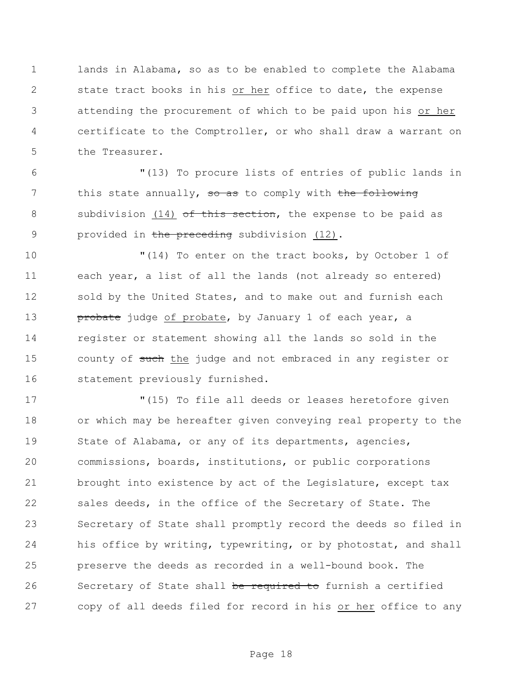lands in Alabama, so as to be enabled to complete the Alabama state tract books in his or her office to date, the expense attending the procurement of which to be paid upon his or her certificate to the Comptroller, or who shall draw a warrant on the Treasurer.

 "(13) To procure lists of entries of public lands in 7 this state annually, so as to comply with the following 8 subdivision (14) of this section, the expense to be paid as 9 provided in the preceding subdivision (12).

 "(14) To enter on the tract books, by October 1 of each year, a list of all the lands (not already so entered) 12 sold by the United States, and to make out and furnish each **probate** judge of probate, by January 1 of each year, a register or statement showing all the lands so sold in the 15 county of such the judge and not embraced in any register or statement previously furnished.

 "(15) To file all deeds or leases heretofore given or which may be hereafter given conveying real property to the 19 State of Alabama, or any of its departments, agencies, commissions, boards, institutions, or public corporations brought into existence by act of the Legislature, except tax sales deeds, in the office of the Secretary of State. The Secretary of State shall promptly record the deeds so filed in his office by writing, typewriting, or by photostat, and shall preserve the deeds as recorded in a well-bound book. The 26 Secretary of State shall be required to furnish a certified copy of all deeds filed for record in his or her office to any

Page 18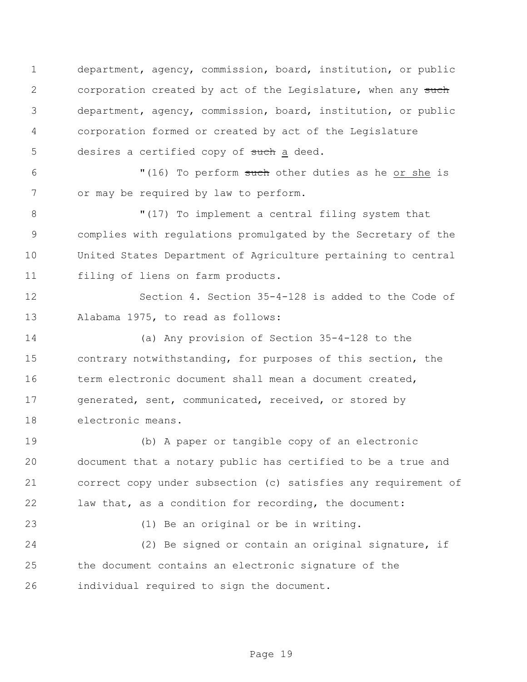department, agency, commission, board, institution, or public 2 corporation created by act of the Legislature, when any such department, agency, commission, board, institution, or public corporation formed or created by act of the Legislature 5 desires a certified copy of such a deed.

6 "(16) To perform such other duties as he or she is or may be required by law to perform.

 "(17) To implement a central filing system that complies with regulations promulgated by the Secretary of the United States Department of Agriculture pertaining to central filing of liens on farm products.

 Section 4. Section 35-4-128 is added to the Code of Alabama 1975, to read as follows:

 (a) Any provision of Section 35-4-128 to the contrary notwithstanding, for purposes of this section, the 16 term electronic document shall mean a document created, 17 generated, sent, communicated, received, or stored by electronic means.

 (b) A paper or tangible copy of an electronic document that a notary public has certified to be a true and correct copy under subsection (c) satisfies any requirement of law that, as a condition for recording, the document:

(1) Be an original or be in writing.

 (2) Be signed or contain an original signature, if the document contains an electronic signature of the individual required to sign the document.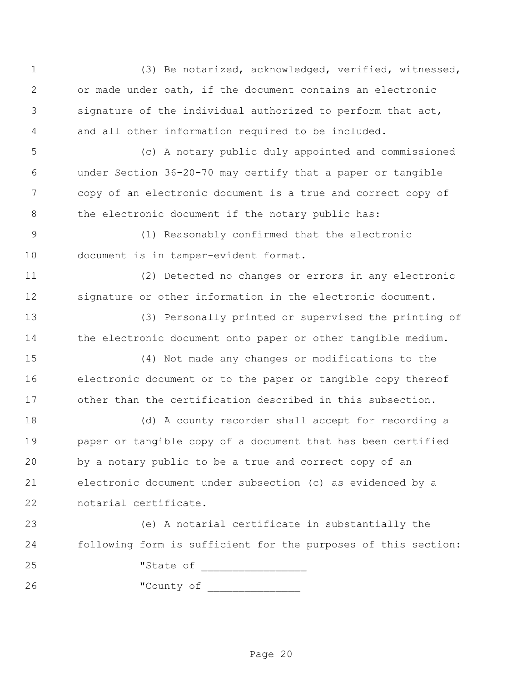(3) Be notarized, acknowledged, verified, witnessed, or made under oath, if the document contains an electronic signature of the individual authorized to perform that act, and all other information required to be included. (c) A notary public duly appointed and commissioned under Section 36-20-70 may certify that a paper or tangible copy of an electronic document is a true and correct copy of the electronic document if the notary public has: (1) Reasonably confirmed that the electronic document is in tamper-evident format. (2) Detected no changes or errors in any electronic signature or other information in the electronic document. (3) Personally printed or supervised the printing of 14 the electronic document onto paper or other tangible medium. (4) Not made any changes or modifications to the electronic document or to the paper or tangible copy thereof other than the certification described in this subsection. (d) A county recorder shall accept for recording a paper or tangible copy of a document that has been certified by a notary public to be a true and correct copy of an electronic document under subsection (c) as evidenced by a notarial certificate. (e) A notarial certificate in substantially the following form is sufficient for the purposes of this section: "State of \_\_\_\_\_\_\_\_\_\_\_\_\_\_\_\_\_ "County of \_\_\_\_\_\_\_\_\_\_\_\_\_\_\_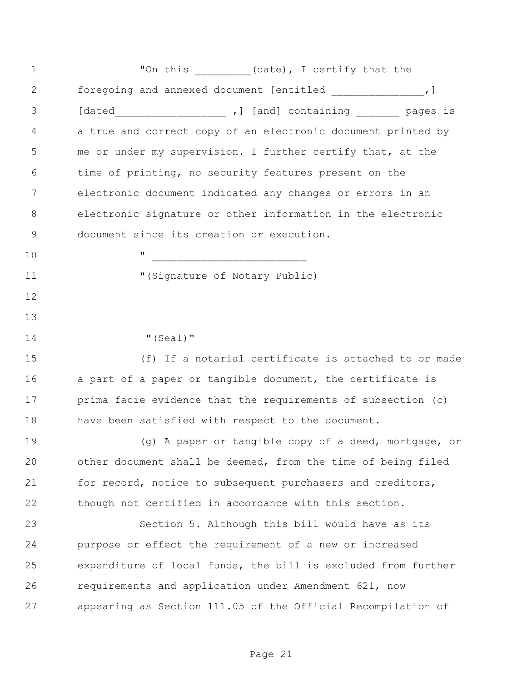1 The finite metal of the set of the set of the set of the set of the set of the set of the set of the set of the set of the set of the set of the set of the set of the set of the set of the set of the set of the set of th foregoing and annexed document [entitled \_\_\_\_\_\_\_\_\_\_\_\_\_\_\_,] [dated\_\_\_\_\_\_\_\_\_\_\_\_\_\_\_\_\_\_ ,] [and] containing \_\_\_\_\_\_\_ pages is a true and correct copy of an electronic document printed by me or under my supervision. I further certify that, at the time of printing, no security features present on the electronic document indicated any changes or errors in an electronic signature or other information in the electronic document since its creation or execution. " \_\_\_\_\_\_\_\_\_\_\_\_\_\_\_\_\_\_\_\_\_\_\_\_\_ "(Signature of Notary Public) 14 "(Seal)" (f) If a notarial certificate is attached to or made 16 a part of a paper or tangible document, the certificate is prima facie evidence that the requirements of subsection (c) have been satisfied with respect to the document. 19 (g) A paper or tangible copy of a deed, mortgage, or other document shall be deemed, from the time of being filed 21 for record, notice to subsequent purchasers and creditors, though not certified in accordance with this section. Section 5. Although this bill would have as its purpose or effect the requirement of a new or increased expenditure of local funds, the bill is excluded from further requirements and application under Amendment 621, now appearing as Section 111.05 of the Official Recompilation of